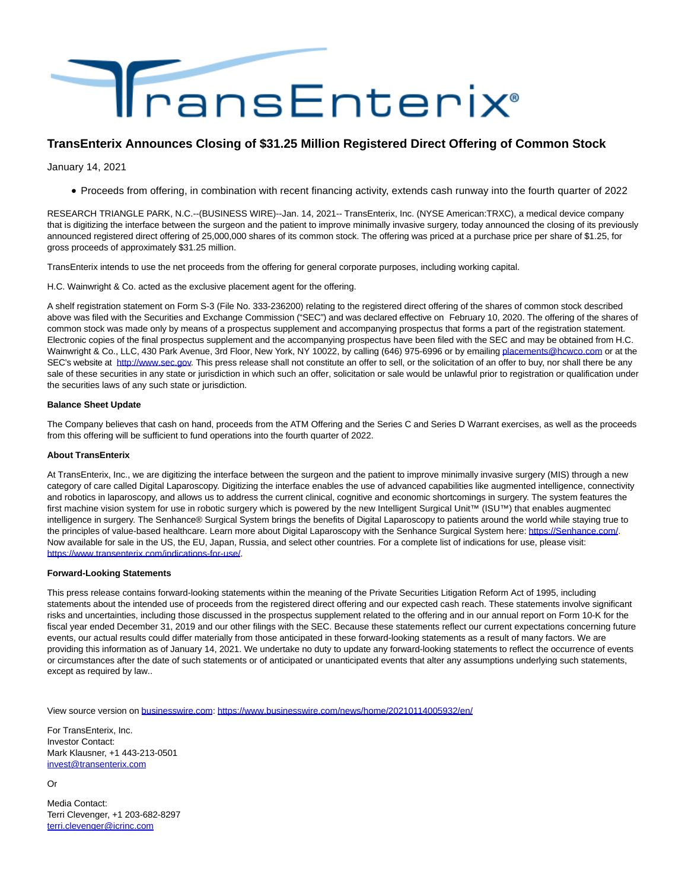

## **TransEnterix Announces Closing of \$31.25 Million Registered Direct Offering of Common Stock**

January 14, 2021

Proceeds from offering, in combination with recent financing activity, extends cash runway into the fourth quarter of 2022

RESEARCH TRIANGLE PARK, N.C.--(BUSINESS WIRE)--Jan. 14, 2021-- TransEnterix, Inc. (NYSE American:TRXC), a medical device company that is digitizing the interface between the surgeon and the patient to improve minimally invasive surgery, today announced the closing of its previously announced registered direct offering of 25,000,000 shares of its common stock. The offering was priced at a purchase price per share of \$1.25, for gross proceeds of approximately \$31.25 million.

TransEnterix intends to use the net proceeds from the offering for general corporate purposes, including working capital.

H.C. Wainwright & Co. acted as the exclusive placement agent for the offering.

A shelf registration statement on Form S-3 (File No. 333-236200) relating to the registered direct offering of the shares of common stock described above was filed with the Securities and Exchange Commission ("SEC") and was declared effective on February 10, 2020. The offering of the shares of common stock was made only by means of a prospectus supplement and accompanying prospectus that forms a part of the registration statement. Electronic copies of the final prospectus supplement and the accompanying prospectus have been filed with the SEC and may be obtained from H.C. Wainwright & Co., LLC, 430 Park Avenue, 3rd Floor, New York, NY 10022, by calling (646) 975-6996 or by emailin[g placements@hcwco.com o](mailto:placements@hcwco.com)r at the SEC's website at [http://www.sec.gov.](https://cts.businesswire.com/ct/CT?id=smartlink&url=http%3A%2F%2Fwww.sec.gov&esheet=52361682&newsitemid=20210114005932&lan=en-US&anchor=http%3A%2F%2Fwww.sec.gov&index=1&md5=155022457b31ab6f5fbd79a6e4443c10) This press release shall not constitute an offer to sell, or the solicitation of an offer to buy, nor shall there be any sale of these securities in any state or jurisdiction in which such an offer, solicitation or sale would be unlawful prior to registration or qualification under the securities laws of any such state or jurisdiction.

## **Balance Sheet Update**

The Company believes that cash on hand, proceeds from the ATM Offering and the Series C and Series D Warrant exercises, as well as the proceeds from this offering will be sufficient to fund operations into the fourth quarter of 2022.

## **About TransEnterix**

At TransEnterix, Inc., we are digitizing the interface between the surgeon and the patient to improve minimally invasive surgery (MIS) through a new category of care called Digital Laparoscopy. Digitizing the interface enables the use of advanced capabilities like augmented intelligence, connectivity and robotics in laparoscopy, and allows us to address the current clinical, cognitive and economic shortcomings in surgery. The system features the first machine vision system for use in robotic surgery which is powered by the new Intelligent Surgical Unit™ (ISU™) that enables augmented intelligence in surgery. The Senhance® Surgical System brings the benefits of Digital Laparoscopy to patients around the world while staying true to the principles of value-based healthcare. Learn more about Digital Laparoscopy with the Senhance Surgical System here: [https://Senhance.com/.](https://cts.businesswire.com/ct/CT?id=smartlink&url=https%3A%2F%2FSenhance.com%2F&esheet=52361682&newsitemid=20210114005932&lan=en-US&anchor=https%3A%2F%2FSenhance.com%2F&index=2&md5=474d92e64011b8f45ec35c9b75fe8fab) Now available for sale in the US, the EU, Japan, Russia, and select other countries. For a complete list of indications for use, please visit: [https://www.transenterix.com/indications-for-use/.](https://cts.businesswire.com/ct/CT?id=smartlink&url=https%3A%2F%2Fwww.transenterix.com%2Findications-for-use%2F&esheet=52361682&newsitemid=20210114005932&lan=en-US&anchor=https%3A%2F%2Fwww.transenterix.com%2Findications-for-use%2F&index=3&md5=1889984bd0f3f91f307bc2678573391b)

## **Forward-Looking Statements**

This press release contains forward-looking statements within the meaning of the Private Securities Litigation Reform Act of 1995, including statements about the intended use of proceeds from the registered direct offering and our expected cash reach. These statements involve significant risks and uncertainties, including those discussed in the prospectus supplement related to the offering and in our annual report on Form 10-K for the fiscal year ended December 31, 2019 and our other filings with the SEC. Because these statements reflect our current expectations concerning future events, our actual results could differ materially from those anticipated in these forward-looking statements as a result of many factors. We are providing this information as of January 14, 2021. We undertake no duty to update any forward-looking statements to reflect the occurrence of events or circumstances after the date of such statements or of anticipated or unanticipated events that alter any assumptions underlying such statements, except as required by law..

View source version on [businesswire.com:](http://businesswire.com/)<https://www.businesswire.com/news/home/20210114005932/en/>

For TransEnterix, Inc. Investor Contact: Mark Klausner, +1 443-213-0501 [invest@transenterix.com](mailto:invest@transenterix.com)

Or

Media Contact: Terri Clevenger, +1 203-682-8297 [terri.clevenger@icrinc.com](mailto:terri.clevenger@icrinc.com)